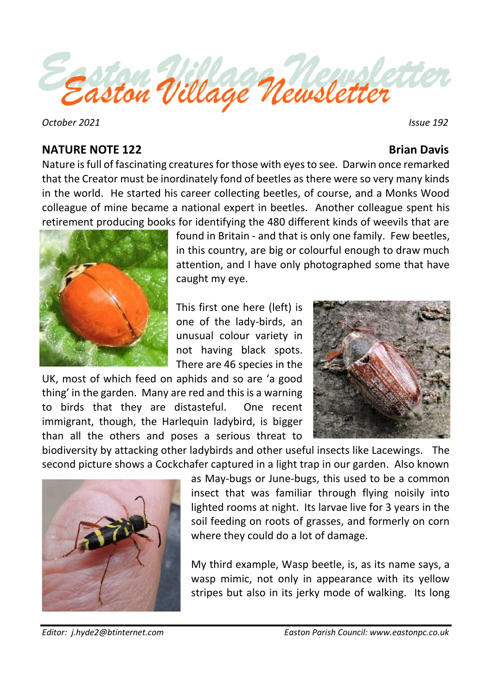

 *October 2021 Issue 192*

## **NATURE NOTE 122** Brian Davis

Nature is full of fascinating creatures for those with eyes to see. Darwin once remarked that the Creator must be inordinately fond of beetles as there were so very many kinds in the world. He started his career collecting beetles, of course, and a Monks Wood colleague of mine became a national expert in beetles. Another colleague spent his retirement producing books for identifying the 480 different kinds of weevils that are



found in Britain - and that is only one family. Few beetles, in this country, are big or colourful enough to draw much attention, and I have only photographed some that have caught my eye.

This first one here (left) is one of the lady-birds, an unusual colour variety in not having black spots. There are 46 species in the

UK, most of which feed on aphids and so are 'a good thing' in the garden. Many are red and this is a warning to birds that they are distasteful. One recent immigrant, though, the Harlequin ladybird, is bigger than all the others and poses a serious threat to



biodiversity by attacking other ladybirds and other useful insects like Lacewings. The second picture shows a Cockchafer captured in a light trap in our garden. Also known



as May-bugs or June-bugs, this used to be a common insect that was familiar through flying noisily into lighted rooms at night. Its larvae live for 3 years in the soil feeding on roots of grasses, and formerly on corn where they could do a lot of damage.

My third example, Wasp beetle, is, as its name says, a wasp mimic, not only in appearance with its yellow stripes but also in its jerky mode of walking. Its long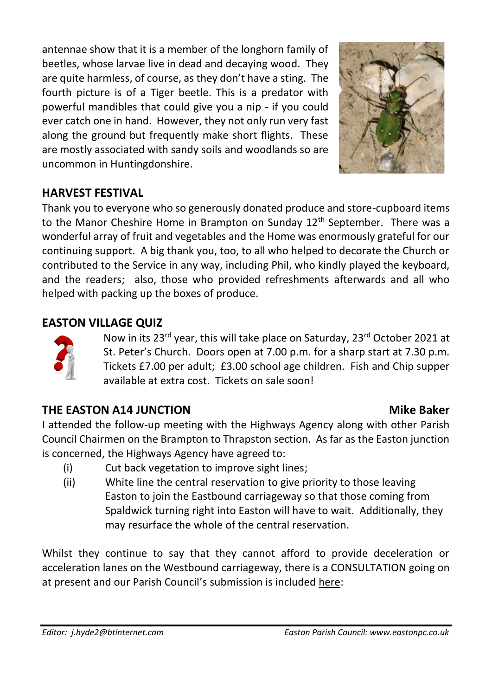antennae show that it is a member of the longhorn family of beetles, whose larvae live in dead and decaying wood. They are quite harmless, of course, as they don't have a sting. The fourth picture is of a Tiger beetle. This is a predator with powerful mandibles that could give you a nip - if you could ever catch one in hand. However, they not only run very fast along the ground but frequently make short flights. These are mostly associated with sandy soils and woodlands so are uncommon in Huntingdonshire.



## **HARVEST FESTIVAL**

Thank you to everyone who so generously donated produce and store-cupboard items to the Manor Cheshire Home in Brampton on Sunday 12<sup>th</sup> September. There was a wonderful array of fruit and vegetables and the Home was enormously grateful for our continuing support. A big thank you, too, to all who helped to decorate the Church or contributed to the Service in any way, including Phil, who kindly played the keyboard, and the readers; also, those who provided refreshments afterwards and all who helped with packing up the boxes of produce.

## **EASTON VILLAGE QUIZ**



Now in its 23<sup>rd</sup> year, this will take place on Saturday, 23<sup>rd</sup> October 2021 at St. Peter's Church. Doors open at 7.00 p.m. for a sharp start at 7.30 p.m. Tickets £7.00 per adult; £3.00 school age children. Fish and Chip supper available at extra cost. Tickets on sale soon!

## **[THE EA](https://freepngimg.com/png/88452-standing-human-business-question-mark-behavior)STON A14 JUNCTION Mike Baker**

I attended the follow-up meeting with the Highways Agency along with other Parish Council Chairmen on the Brampton to Thrapston section. As far as the Easton junction is concerned, the Highways Agency have agreed to:

- (i) Cut back vegetation to improve sight lines;
- (ii) White line the central reservation to give priority to those leaving Easton to join the Eastbound carriageway so that those coming from Spaldwick turning right into Easton will have to wait. Additionally, they may resurface the whole of the central reservation.

Whilst they continue to say that they cannot afford to provide deceleration or acceleration lanes on the Westbound carriageway, there is a CONSULTATION going on at present and our Parish Council's submission is included here: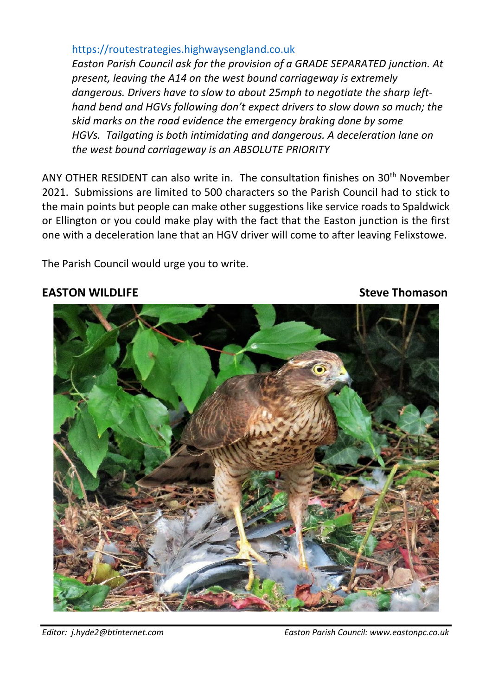### [https://routestrategies.highwaysengland.co.uk](https://routestrategies.highwaysengland.co.uk/)

*Easton Parish Council ask for the provision of a GRADE SEPARATED junction. At present, leaving the A14 on the west bound carriageway is extremely dangerous. Drivers have to slow to about 25mph to negotiate the sharp lefthand bend and HGVs following don't expect drivers to slow down so much; the skid marks on the road evidence the emergency braking done by some HGVs. Tailgating is both intimidating and dangerous. A deceleration lane on the west bound carriageway is an ABSOLUTE PRIORITY* 

ANY OTHER RESIDENT can also write in. The consultation finishes on 30th November 2021. Submissions are limited to 500 characters so the Parish Council had to stick to the main points but people can make other suggestions like service roads to Spaldwick or Ellington or you could make play with the fact that the Easton junction is the first one with a deceleration lane that an HGV driver will come to after leaving Felixstowe.

The Parish Council would urge you to write.

## **EASTON WILDLIFE** Steve Thomason



*Editor: j.hyde2@btinternet.com Easton Parish Council: www.eastonpc.co.uk*